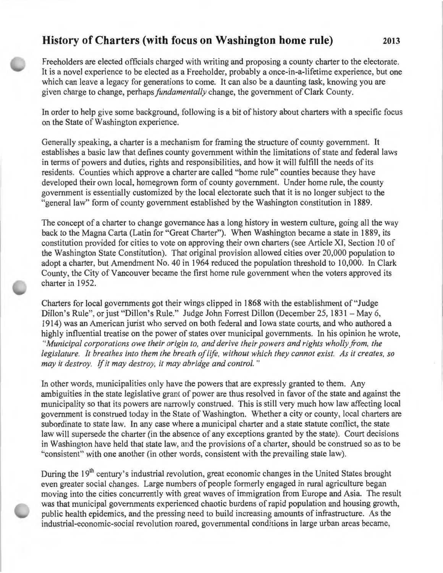## **History of Charters (with focus on Washington home rule) 2013**

Freeholders are elected officials charged with writing and proposing a county charter to the electorate. It is a novel experience to be elected as a Freeholder, probably a once-in-a-lifetime experience, but one which can leave a legacy for generations to come. It can also be a daunting task, knowing you are given charge to change, perhaps *fundamentally* change, the government of Clark County.

In order to help give some background, following is a bit of history about charters with a specific focus on the State of Washington experience.

Generally speaking, a charter is a mechanism for framing the structure of county government. It establishes a basic law that defines county government within the limitations of state and federal laws in terms of powers and duties, rights and responsibilities, and how it will fulfill the needs of its residents. Counties which approve a charter are called "home rule" counties because they have developed their own local, homegrown form of county government. Under home rule, the county government is essentially customized by the local electorate such that it is no longer subject to the "general law" form of county government established by the Washington constitution in 1889.

The concept of a charter to change governance has a long history in western culture, going all the way back to the Magna Carta (Latin for "Great Charter"). When Washington became a state in 1889, its constitution provided for cities to vote on approving their own charters (see Article XI, Section 10 of the Washington State Constitution). That original provision allowed cities over 20,000 population to adopt a charter, but Amendment No. 40 in 1964 reduced the population threshold to 10,000. In Clark County, the City of Vancouver became the first home rule government when the voters approved its charter in 1952.

Charters for local governments got their wings clipped in 1868 with the establishment of "Judge Dillon's Rule", or just "Dillon's Rule." Judge John Forrest Dillon (December 25, 1831 – May 6, 1914) was an American jurist who served on both federal and Iowa state courts, and who authored a highly influential treatise on the power of states over municipal governments. In his opinion he wrote, *"Municipal corporations owe their origin to, and derive their powers and rights wholly from, the legislature. It breathes into them the breath of life, without which they cannot exist. As it creates, so may it destroy.* If *it may destroy, it may abridge and control.* "

In other words, municipalities only have the powers that are expressly granted to them. Any ambiguities in the state legislative grant of power are thus resolved in favor of the state and against the municipality so that its powers are narrowly construed. This is still very much how law affecting local government is construed today in the State of Washington. Whether a city or county, local charters are subordinate to state law. In any case where a municipal charter and a state statute conflict, the state law will supersede the charter (in the absence of any exceptions granted by the state). Court decisions in Washington have held that state law, and the provisions of a charter, should be construed so as to be "consistent" with one another (in other words, consistent with the prevailing state law).

During the 19<sup>th</sup> century's industrial revolution, great economic changes in the United States brought even greater social changes. Large numbers of people formerly engaged in rural agriculture began moving into the cities concurrently with great waves of immigration from Europe and Asia. The result was that municipal governments experienced chaotic burdens of rapid population and housing growth, public health epidemics, and the pressing need to build increasing amounts of infrastructure. As the industrial-economic-social revolution roared, governmental conditions in large urban areas became,